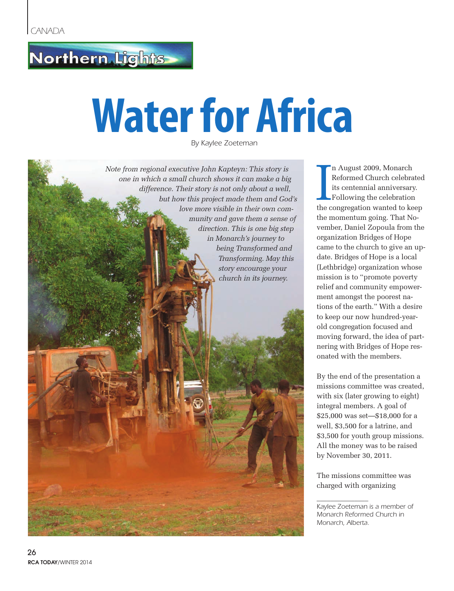## Northern Lights

## **Water for Africa**

*By Kaylee Zoeteman*



I n August 2009, Monarch Reformed Church celebrated its centennial anniversary. Following the celebration the congregation wanted to keep the momentum going. That November, Daniel Zopoula from the organization Bridges of Hope came to the church to give an update. Bridges of Hope is a local (Lethbridge) organization whose mission is to "promote poverty relief and community empowerment amongst the poorest nations of the earth." With a desire to keep our now hundred-yearold congregation focused and moving forward, the idea of partnering with Bridges of Hope resonated with the members.

By the end of the presentation a missions committee was created, with six (later growing to eight) integral members. A goal of \$25,000 was set—\$18,000 for a well, \$3,500 for a latrine, and \$3,500 for youth group missions. All the money was to be raised by November 30, 2011.

The missions committee was charged with organizing

*Kaylee Zoeteman is a member of Monarch Reformed Church in Monarch, Alberta.*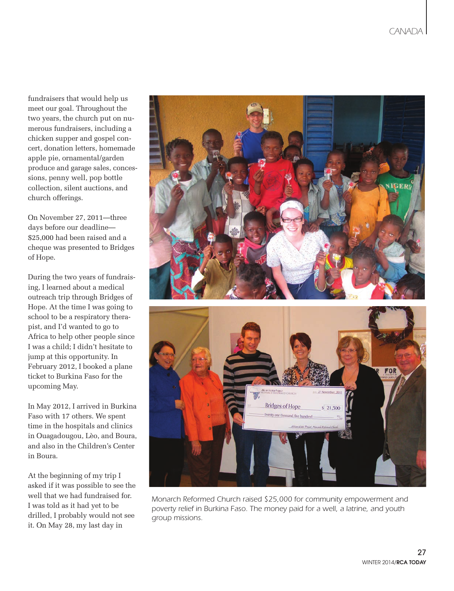fundraisers that would help us meet our goal. Throughout the two years, the church put on numerous fundraisers, including a chicken supper and gospel concert, donation letters, homemade apple pie, ornamental/garden produce and garage sales, concessions, penny well, pop bottle collection, silent auctions, and church offerings.

On November 27, 2011—three days before our deadline— \$25,000 had been raised and a cheque was presented to Bridges of Hope.

During the two years of fundraising, I learned about a medical outreach trip through Bridges of Hope. At the time I was going to school to be a respiratory therapist, and I'd wanted to go to Africa to help other people since I was a child; I didn't hesitate to jump at this opportunity. In February 2012, I booked a plane ticket to Burkina Faso for the upcoming May.

In May 2012, I arrived in Burkina Faso with 17 others. We spent time in the hospitals and clinics in Ouagadougou, Lèo, and Boura, and also in the Children's Center in Boura.

At the beginning of my trip I asked if it was possible to see the well that we had fundraised for. I was told as it had yet to be drilled, I probably would not see it. On May 28, my last day in



*Monarch Reformed Church raised \$25,000 for community empowerment and poverty relief in Burkina Faso. The money paid for a well, a latrine, and youth group missions.*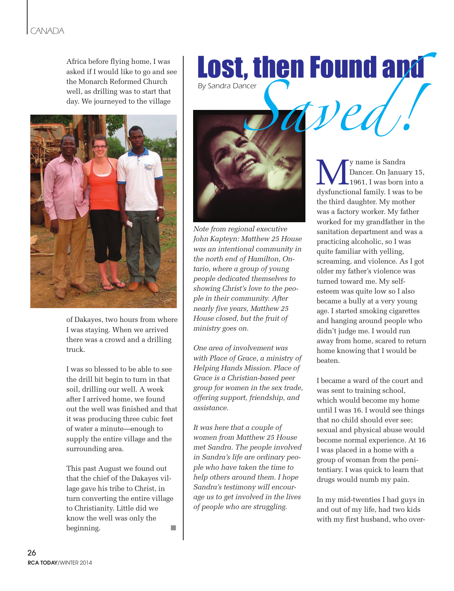## *CANADA*

asked if I would like to go and see the Monarch Reformed Church well, as drilling was to start that day. We journeyed to the village



of Dakayes, two hours from where I was staying. When we arrived there was a crowd and a drilling truck.

I was so blessed to be able to see the drill bit begin to turn in that soil, drilling our well. A week after I arrived home, we found out the well was finished and that it was producing three cubic feet of water a minute—enough to supply the entire village and the surrounding area.

This past August we found out that the chief of the Dakayes village gave his tribe to Christ, in turn converting the entire village to Christianity. Little did we know the well was only the beginning.

Africa before flying home, I was<br>asked if I would like to go and see<br>the Monarch Reformed Church<br>well, as drilling was to start that<br>day. We journeyed to the village<br> $\blacksquare$ *By Sandra Dancer* 



*Note from regional executive John Kapteyn: Matthew 25 House was an intentional community in the north end of Hamilton, Ontario, where a group of young people dedicated themselves to showing Christ's love to the people in their community. After nearly five years, Matthew 25 House closed, but the fruit of ministry goes on.*

*One area of involvement was with Place of Grace, a ministry of Helping Hands Mission. Place of Grace is a Christian-based peer group for women in the sex trade, offering support, friendship, and assistance.*

*It was here that a couple of women from Matthew 25 House met Sandra. The people involved in Sandra's life are ordinary people who have taken the time to help others around them. I hope Sandra's testimony will encourage us to get involved in the lives of people who are struggling.* 

y name is Sandra Dancer. On January 15, 1961, I was born into a dysfunctional family. I was to be the third daughter. My mother was a factory worker. My father worked for my grandfather in the sanitation department and was a practicing alcoholic, so I was quite familiar with yelling, screaming, and violence. As I got older my father's violence was turned toward me. My selfesteem was quite low so I also became a bully at a very young age. I started smoking cigarettes and hanging around people who didn't judge me. I would run away from home, scared to return home knowing that I would be beaten.

I became a ward of the court and was sent to training school, which would become my home until I was 16. I would see things that no child should ever see; sexual and physical abuse would become normal experience. At 16 I was placed in a home with a group of woman from the penitentiary. I was quick to learn that drugs would numb my pain.

In my mid-twenties I had guys in and out of my life, had two kids with my first husband, who over-